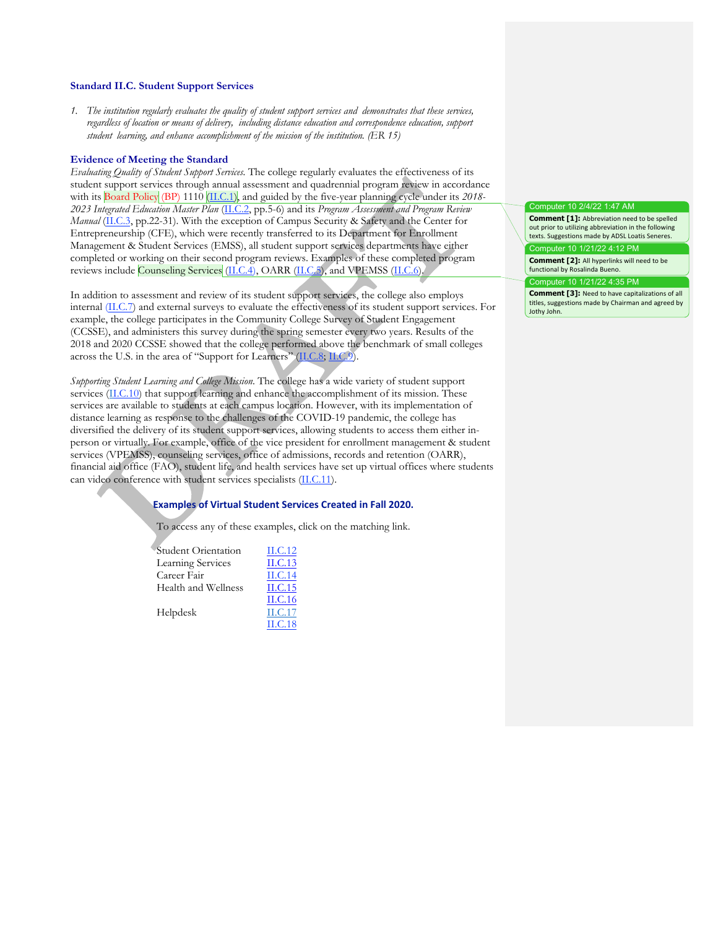#### **Standard II.C. Student Support Services**

*1. The institution regularly evaluates the quality of student support services and demonstrates that these services, regardless of location or means of delivery, including distance education and correspondence education, support student learning, and enhance accomplishment of the mission of the institution. (ER 15)*

#### **Evidence of Meeting the Standard**

*Evaluating Quality of Student Support Services.* The college regularly evaluates the effectiveness of its student support services through annual assessment and quadrennial program review in accordance with its Board Policy (BP) 1110 (II.C.1), and guided by the five-year planning cycle under its *2018- 2023 Integrated Education Master Plan* (II.C.2, pp.5-6) and its *Program Assessment and Program Review Manual* (II.C.3, pp.22-31). With the exception of Campus Security & Safety and the Center for Entrepreneurship (CFE), which were recently transferred to its Department for Enrollment Management & Student Services (EMSS), all student support services departments have either completed or working on their second program reviews. Examples of these completed program reviews include Counseling Services (II.C.4), OARR (II.C.5), and VPEMSS (II.C.6).

In addition to assessment and review of its student support services, the college also employs internal (II.C.7) and external surveys to evaluate the effectiveness of its student support services. For example, the college participates in the Community College Survey of Student Engagement (CCSSE), and administers this survey during the spring semester every two years. Results of the 2018 and 2020 CCSSE showed that the college performed above the benchmark of small colleges across the U.S. in the area of "Support for Learners" (II.C.8; II.C.9).

*Supporting Student Learning and College Mission*. The college has a wide variety of student support services (II.C.10) that support learning and enhance the accomplishment of its mission. These services are available to students at each campus location. However, with its implementation of distance learning as response to the challenges of the COVID-19 pandemic, the college has diversified the delivery of its student support services, allowing students to access them either inperson or virtually. For example, office of the vice president for enrollment management & student services (VPEMSS), counseling services, office of admissions, records and retention (OARR), financial aid office (FAO), student life, and health services have set up virtual offices where students can video conference with student services specialists (II.C.11).

# **Examples of Virtual Student Services Created in Fall 2020.**

To access any of these examples, click on the matching link.

Student Orientation II.C.12 Learning Services II.C.13 Career Fair II.C.14 Health and Wellness II.C.15 II.C.16 Helpdesk II.C.17 II.C.18

# Computer 10 2/4/22 1:47 AM

**Comment [1]:** Abbreviation need to be spelled out prior to utilizing abbreviation in the following texts. Suggestions made by ADSL Loatis Seneres. Computer 10 1/21/22 4:12 PM **Comment [2]:** All hyperlinks will need to be

functional by Rosalinda Bueno.

Computer 10 1/21/22 4:35 PM

**Comment [3]:** Need to have capitalizations of all titles, suggestions made by Chairman and agreed by Jothy John.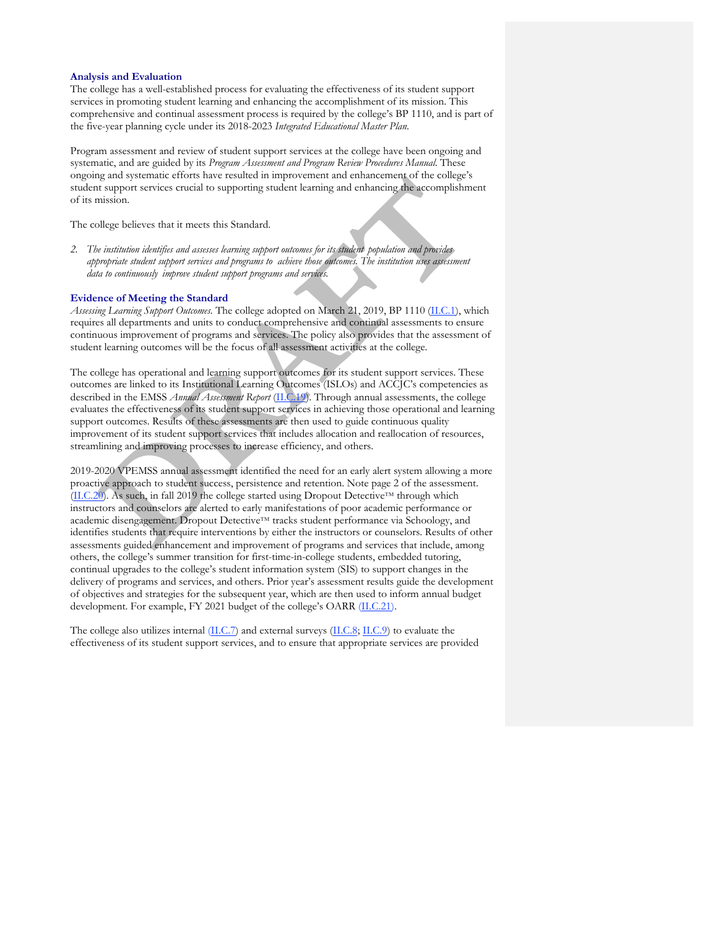#### **Analysis and Evaluation**

The college has a well-established process for evaluating the effectiveness of its student support services in promoting student learning and enhancing the accomplishment of its mission. This comprehensive and continual assessment process is required by the college's BP 1110, and is part of the five-year planning cycle under its 2018-2023 *Integrated Educational Master Plan*.

Program assessment and review of student support services at the college have been ongoing and systematic, and are guided by its *Program Assessment and Program Review Procedures Manual*. These ongoing and systematic efforts have resulted in improvement and enhancement of the college's student support services crucial to supporting student learning and enhancing the accomplishment of its mission.

The college believes that it meets this Standard.

*2. The institution identifies and assesses learning support outcomes for its student population and provides appropriate student support services and programs to achieve those outcomes. The institution uses assessment data to continuously improve student support programs and services.*

#### **Evidence of Meeting the Standard**

*Assessing Learning Support Outcomes.* The college adopted on March 21, 2019, BP 1110 (II.C.1), which requires all departments and units to conduct comprehensive and continual assessments to ensure continuous improvement of programs and services. The policy also provides that the assessment of student learning outcomes will be the focus of all assessment activities at the college.

The college has operational and learning support outcomes for its student support services. These outcomes are linked to its Institutional Learning Outcomes (ISLOs) and ACCJC's competencies as described in the EMSS *Annual Assessment Report* (II.C.19). Through annual assessments, the college evaluates the effectiveness of its student support services in achieving those operational and learning support outcomes. Results of these assessments are then used to guide continuous quality improvement of its student support services that includes allocation and reallocation of resources, streamlining and improving processes to increase efficiency, and others.

2019-2020 VPEMSS annual assessment identified the need for an early alert system allowing a more proactive approach to student success, persistence and retention. Note page 2 of the assessment. (II.C.20). As such, in fall 2019 the college started using Dropout Detective™ through which instructors and counselors are alerted to early manifestations of poor academic performance or academic disengagement. Dropout Detective™ tracks student performance via Schoology, and identifies students that require interventions by either the instructors or counselors. Results of other assessments guided enhancement and improvement of programs and services that include, among others, the college's summer transition for first-time-in-college students, embedded tutoring, continual upgrades to the college's student information system (SIS) to support changes in the delivery of programs and services, and others. Prior year's assessment results guide the development of objectives and strategies for the subsequent year, which are then used to inform annual budget development. For example, FY 2021 budget of the college's OARR (II.C.21).

The college also utilizes internal (II.C.7) and external surveys (II.C.8; II.C.9) to evaluate the effectiveness of its student support services, and to ensure that appropriate services are provided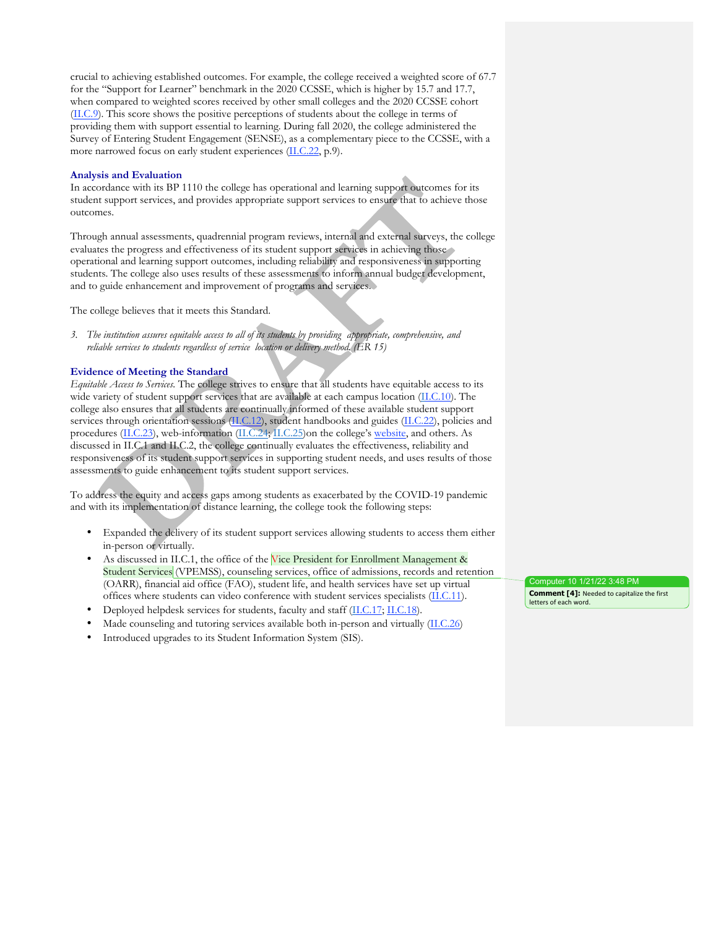crucial to achieving established outcomes. For example, the college received a weighted score of 67.7 for the "Support for Learner" benchmark in the 2020 CCSSE, which is higher by 15.7 and 17.7, when compared to weighted scores received by other small colleges and the 2020 CCSSE cohort (II.C.9). This score shows the positive perceptions of students about the college in terms of providing them with support essential to learning. During fall 2020, the college administered the Survey of Entering Student Engagement (SENSE), as a complementary piece to the CCSSE, with a more narrowed focus on early student experiences (II.C.22, p.9).

#### **Analysis and Evaluation**

In accordance with its BP 1110 the college has operational and learning support outcomes for its student support services, and provides appropriate support services to ensure that to achieve those outcomes.

Through annual assessments, quadrennial program reviews, internal and external surveys, the college evaluates the progress and effectiveness of its student support services in achieving those operational and learning support outcomes, including reliability and responsiveness in supporting students. The college also uses results of these assessments to inform annual budget development, and to guide enhancement and improvement of programs and services.

The college believes that it meets this Standard.

*3. The institution assures equitable access to all of its students by providing appropriate, comprehensive, and reliable services to students regardless of service location or delivery method. (ER 15)*

## **Evidence of Meeting the Standard**

*Equitable Access to Services.* The college strives to ensure that all students have equitable access to its wide variety of student support services that are available at each campus location (II.C.10). The college also ensures that all students are continually informed of these available student support services through orientation sessions (II.C.12), student handbooks and guides (II.C.22), policies and procedures (II.C.23), web-information (II.C.24; II.C.25)on the college's website, and others. As discussed in II.C.1 and II.C.2, the college continually evaluates the effectiveness, reliability and responsiveness of its student support services in supporting student needs, and uses results of those assessments to guide enhancement to its student support services.

To address the equity and access gaps among students as exacerbated by the COVID-19 pandemic and with its implementation of distance learning, the college took the following steps:

- Expanded the delivery of its student support services allowing students to access them either in-person or virtually.
- As discussed in II.C.1, the office of the Vice President for Enrollment Management & Student Services (VPEMSS), counseling services, office of admissions, records and retention (OARR), financial aid office (FAO), student life, and health services have set up virtual offices where students can video conference with student services specialists (II.C.11).
- Deployed helpdesk services for students, faculty and staff (II.C.17; II.C.18).
- Made counseling and tutoring services available both in-person and virtually (II.C.26)
- Introduced upgrades to its Student Information System (SIS).

Computer 10 1/21/22 3:48 PM **Comment [4]:** Needed to capitalize the first letters of each word.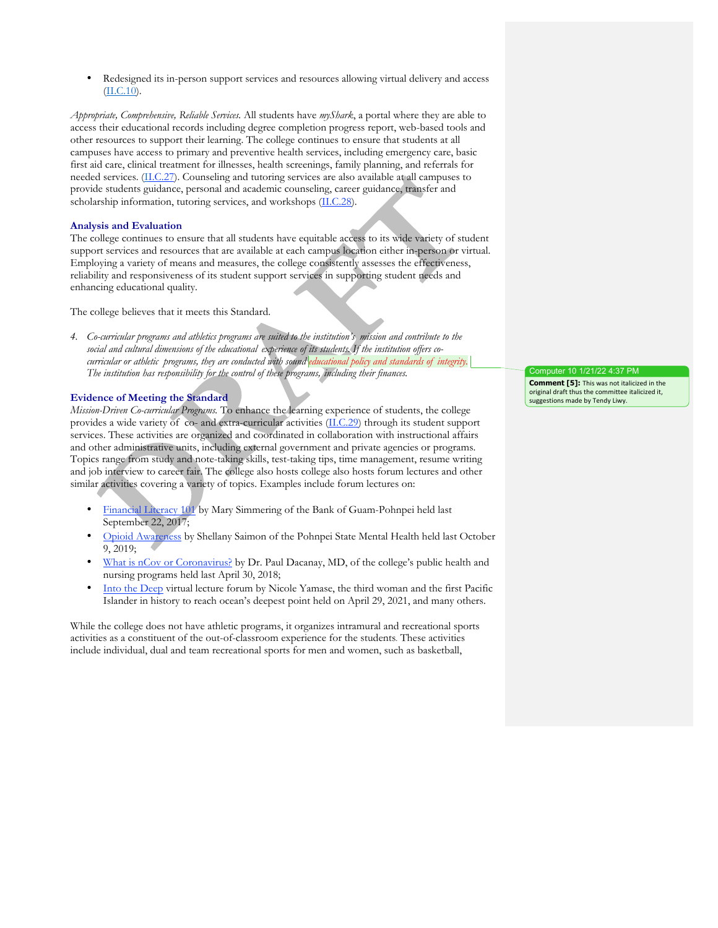• Redesigned its in-person support services and resources allowing virtual delivery and access (II.C.10).

*Appropriate, Comprehensive, Reliable Services.* All students have *myShark*, a portal where they are able to access their educational records including degree completion progress report, web-based tools and other resources to support their learning. The college continues to ensure that students at all campuses have access to primary and preventive health services, including emergency care, basic first aid care, clinical treatment for illnesses, health screenings, family planning, and referrals for needed services. (II.C.27). Counseling and tutoring services are also available at all campuses to provide students guidance, personal and academic counseling, career guidance, transfer and scholarship information, tutoring services, and workshops (II.C.28).

#### **Analysis and Evaluation**

The college continues to ensure that all students have equitable access to its wide variety of student support services and resources that are available at each campus location either in-person or virtual. Employing a variety of means and measures, the college consistently assesses the effectiveness, reliability and responsiveness of its student support services in supporting student needs and enhancing educational quality.

The college believes that it meets this Standard.

*4. Co-curricular programs and athletics programs are suited to the institution's mission and contribute to the social and cultural dimensions of the educational experience of its students. If the institution offers cocurricular or athletic programs, they are conducted with sound educational policy and standards of integrity. The institution has responsibility for the control of these programs, including their finances.*

#### **Evidence of Meeting the Standard**

*Mission-Driven Co-curricular Programs.* To enhance the learning experience of students, the college provides a wide variety of co- and extra-curricular activities (II.C.29) through its student support services. These activities are organized and coordinated in collaboration with instructional affairs and other administrative units, including external government and private agencies or programs. Topics range from study and note-taking skills, test-taking tips, time management, resume writing and job interview to career fair. The college also hosts college also hosts forum lectures and other similar activities covering a variety of topics. Examples include forum lectures on:

- Financial Literacy 101 by Mary Simmering of the Bank of Guam-Pohnpei held last September 22, 2017;
- Opioid Awareness by Shellany Saimon of the Pohnpei State Mental Health held last October 9, 2019;
- What is nCov or Coronavirus? by Dr. Paul Dacanay, MD, of the college's public health and nursing programs held last April 30, 2018;
- Into the Deep virtual lecture forum by Nicole Yamase, the third woman and the first Pacific Islander in history to reach ocean's deepest point held on April 29, 2021, and many others.

While the college does not have athletic programs, it organizes intramural and recreational sports activities as a constituent of the out-of-classroom experience for the students. These activities include individual, dual and team recreational sports for men and women, such as basketball,

Computer 10 1/21/22 4:37 PM **Comment [5]:** This was not italicized in the original draft thus the committee italicized it, suggestions made by Tendy Liwy.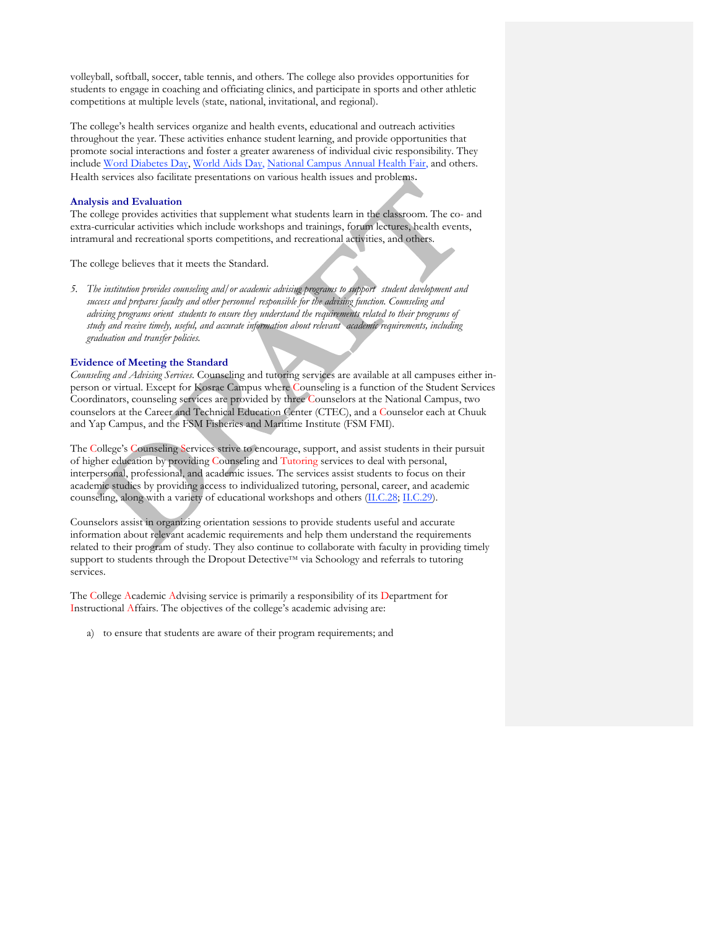volleyball, softball, soccer, table tennis, and others. The college also provides opportunities for students to engage in coaching and officiating clinics, and participate in sports and other athletic competitions at multiple levels (state, national, invitational, and regional).

The college's health services organize and health events, educational and outreach activities throughout the year. These activities enhance student learning, and provide opportunities that promote social interactions and foster a greater awareness of individual civic responsibility. They include Word Diabetes Day, World Aids Day, National Campus Annual Health Fair, and others. Health services also facilitate presentations on various health issues and problems.

#### **Analysis and Evaluation**

The college provides activities that supplement what students learn in the classroom. The co- and extra-curricular activities which include workshops and trainings, forum lectures, health events, intramural and recreational sports competitions, and recreational activities, and others.

The college believes that it meets the Standard.

*5. The institution provides counseling and/or academic advising programs to support student development and success and prepares faculty and other personnel responsible for the advising function. Counseling and advising programs orient students to ensure they understand the requirements related to their programs of study and receive timely, useful, and accurate information about relevant academic requirements, including graduation and transfer policies.*

#### **Evidence of Meeting the Standard**

*Counseling and Advising Services*. Counseling and tutoring services are available at all campuses either inperson or virtual. Except for Kosrae Campus where Counseling is a function of the Student Services Coordinators, counseling services are provided by three Counselors at the National Campus, two counselors at the Career and Technical Education Center (CTEC), and a Counselor each at Chuuk and Yap Campus, and the FSM Fisheries and Maritime Institute (FSM FMI).

The College's Counseling Services strive to encourage, support, and assist students in their pursuit of higher education by providing Counseling and Tutoring services to deal with personal, interpersonal, professional, and academic issues. The services assist students to focus on their academic studies by providing access to individualized tutoring, personal, career, and academic counseling, along with a variety of educational workshops and others (II.C.28; II.C.29).

Counselors assist in organizing orientation sessions to provide students useful and accurate information about relevant academic requirements and help them understand the requirements related to their program of study. They also continue to collaborate with faculty in providing timely support to students through the Dropout Detective™ via Schoology and referrals to tutoring services.

The College Academic Advising service is primarily a responsibility of its Department for Instructional Affairs. The objectives of the college's academic advising are:

a) to ensure that students are aware of their program requirements; and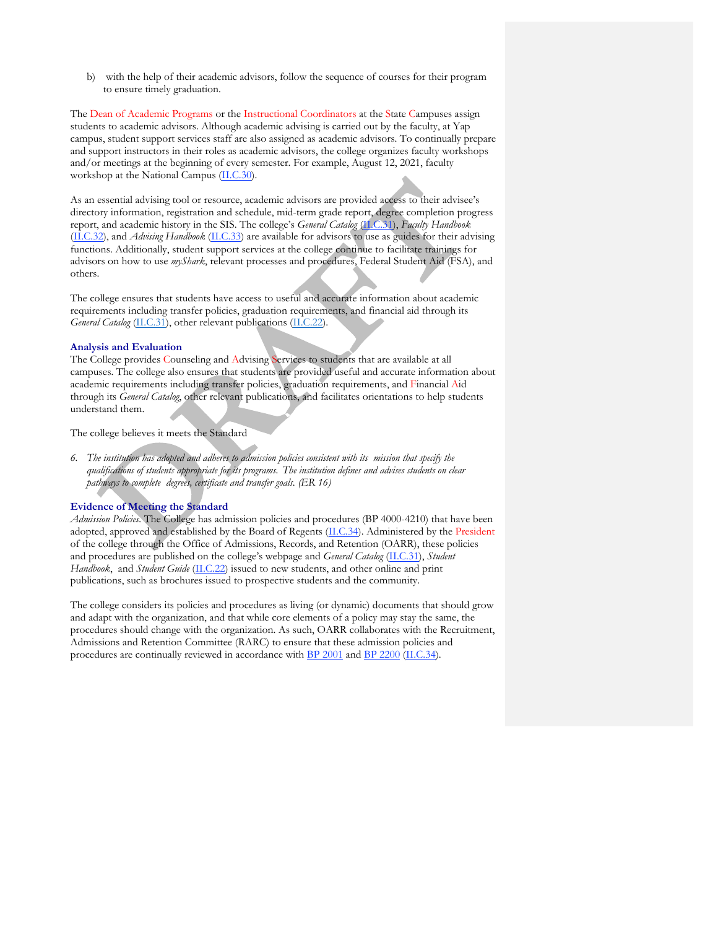b) with the help of their academic advisors, follow the sequence of courses for their program to ensure timely graduation.

The Dean of Academic Programs or the Instructional Coordinators at the State Campuses assign students to academic advisors. Although academic advising is carried out by the faculty, at Yap campus, student support services staff are also assigned as academic advisors. To continually prepare and support instructors in their roles as academic advisors, the college organizes faculty workshops and/or meetings at the beginning of every semester. For example, August 12, 2021, faculty workshop at the National Campus (II.C.30).

As an essential advising tool or resource, academic advisors are provided access to their advisee's directory information, registration and schedule, mid-term grade report, degree completion progress report, and academic history in the SIS. The college's *General Catalog* (II.C.31), *Faculty Handbook* (II.C.32), and *Advising Handbook* (II.C.33) are available for advisors to use as guides for their advising functions. Additionally, student support services at the college continue to facilitate trainings for advisors on how to use *myShark*, relevant processes and procedures, Federal Student Aid (FSA), and others.

The college ensures that students have access to useful and accurate information about academic requirements including transfer policies, graduation requirements, and financial aid through its *General Catalog* (II.C.31), other relevant publications (II.C.22).

#### **Analysis and Evaluation**

The College provides Counseling and Advising Services to students that are available at all campuses. The college also ensures that students are provided useful and accurate information about academic requirements including transfer policies, graduation requirements, and Financial Aid through its *General Catalog*, other relevant publications, and facilitates orientations to help students understand them.

The college believes it meets the Standard

6. The institution has adopted and adheres to admission policies consistent with its mission that specify the *qualifications of students appropriate for its programs. The institution defines and advises students on clear pathways to complete degrees, certificate and transfer goals. (ER 16)*

## **Evidence of Meeting the Standard**

*Admission Policies.* The College has admission policies and procedures (BP 4000-4210) that have been adopted, approved and established by the Board of Regents (II.C.34). Administered by the President of the college through the Office of Admissions, Records, and Retention (OARR), these policies and procedures are published on the college's webpage and *General Catalog* (II.C.31), *Student Handbook*, and *Student Guide* (II.C.22) issued to new students, and other online and print publications, such as brochures issued to prospective students and the community.

The college considers its policies and procedures as living (or dynamic) documents that should grow and adapt with the organization, and that while core elements of a policy may stay the same, the procedures should change with the organization. As such, OARR collaborates with the Recruitment, Admissions and Retention Committee (RARC) to ensure that these admission policies and procedures are continually reviewed in accordance with BP 2001 and BP 2200 (II.C.34).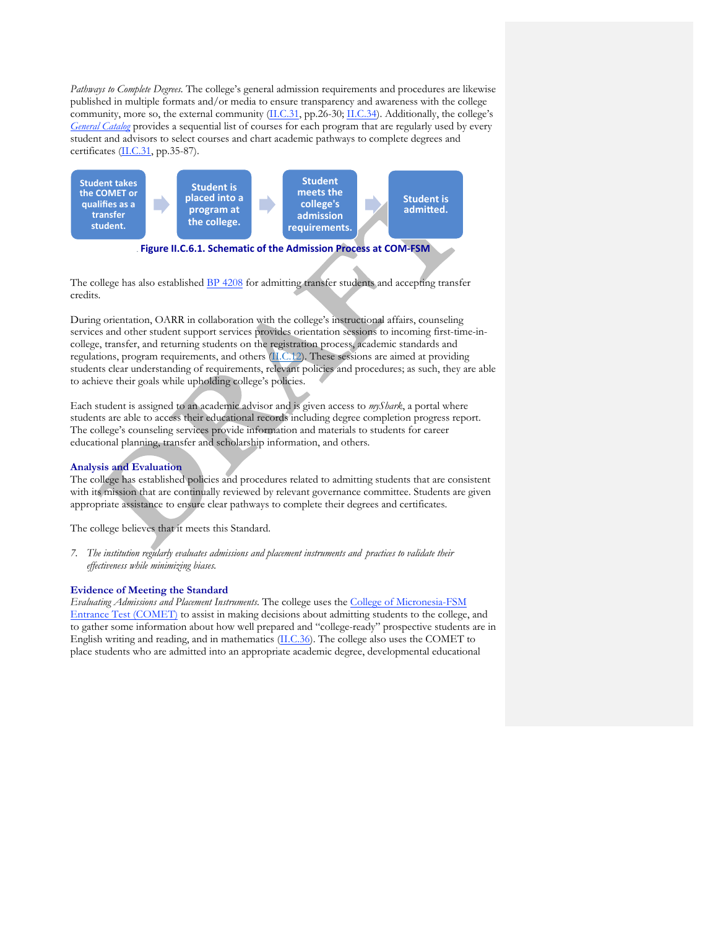*Pathways to Complete Degrees.* The college's general admission requirements and procedures are likewise published in multiple formats and/or media to ensure transparency and awareness with the college community, more so, the external community (II.C.31, pp.26-30; II.C.34). Additionally, the college's *General Catalog* provides a sequential list of courses for each program that are regularly used by every student and advisors to select courses and chart academic pathways to complete degrees and certificates (II.C.31, pp.35-87).



The college has also established BP 4208 for admitting transfer students and accepting transfer credits.

During orientation, OARR in collaboration with the college's instructional affairs, counseling services and other student support services provides orientation sessions to incoming first-time-incollege, transfer, and returning students on the registration process, academic standards and regulations, program requirements, and others (II.C.12). These sessions are aimed at providing students clear understanding of requirements, relevant policies and procedures; as such, they are able to achieve their goals while upholding college's policies.

Each student is assigned to an academic advisor and is given access to *myShark*, a portal where students are able to access their educational records including degree completion progress report. The college's counseling services provide information and materials to students for career educational planning, transfer and scholarship information, and others.

## **Analysis and Evaluation**

The college has established policies and procedures related to admitting students that are consistent with its mission that are continually reviewed by relevant governance committee. Students are given appropriate assistance to ensure clear pathways to complete their degrees and certificates.

The college believes that it meets this Standard.

*7. The institution regularly evaluates admissions and placement instruments and practices to validate their effectiveness while minimizing biases.*

## **Evidence of Meeting the Standard**

*Evaluating Admissions and Placement Instruments*. The college uses the College of Micronesia-FSM Entrance Test (COMET) to assist in making decisions about admitting students to the college, and to gather some information about how well prepared and "college-ready" prospective students are in English writing and reading, and in mathematics (II.C.36). The college also uses the COMET to place students who are admitted into an appropriate academic degree, developmental educational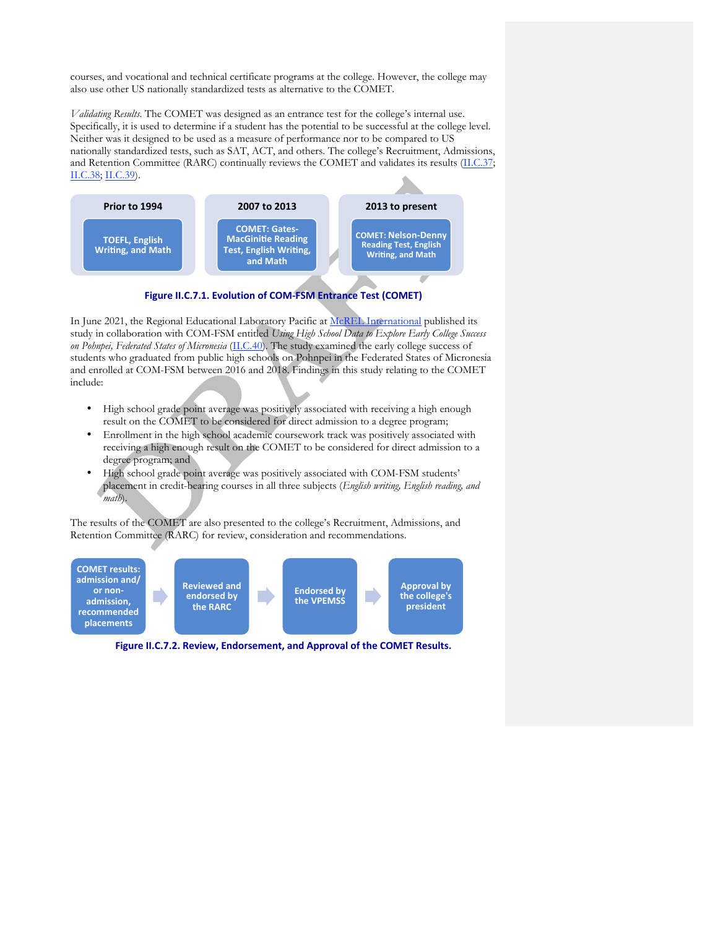courses, and vocational and technical certificate programs at the college. However, the college may also use other US nationally standardized tests as alternative to the COMET.

*Validating Results*. The COMET was designed as an entrance test for the college's internal use. Specifically, it is used to determine if a student has the potential to be successful at the college level. Neither was it designed to be used as a measure of performance nor to be compared to US nationally standardized tests, such as SAT, ACT, and others. The college's Recruitment, Admissions, and Retention Committee (RARC) continually reviews the COMET and validates its results (II.C.37; II.C.38; II.C.39).



Figure II.C.7.1. Evolution of COM-FSM Entrance Test (COMET)

In June 2021, the Regional Educational Laboratory Pacific at McREL International published its study in collaboration with COM-FSM entitled *Using High School Data to Explore Early College Success on Pohnpei, Federated States of Micronesia* (II.C.40). The study examined the early college success of students who graduated from public high schools on Pohnpei in the Federated States of Micronesia and enrolled at COM-FSM between 2016 and 2018. Findings in this study relating to the COMET include:

- High school grade point average was positively associated with receiving a high enough result on the COMET to be considered for direct admission to a degree program;
- Enrollment in the high school academic coursework track was positively associated with receiving a high enough result on the COMET to be considered for direct admission to a degree program; and
- High school grade point average was positively associated with COM-FSM students' placement in credit-bearing courses in all three subjects (*English writing, English reading, and math*).

The results of the COMET are also presented to the college's Recruitment, Admissions, and Retention Committee (RARC) for review, consideration and recommendations.



Figure II.C.7.2. Review, Endorsement, and Approval of the COMET Results.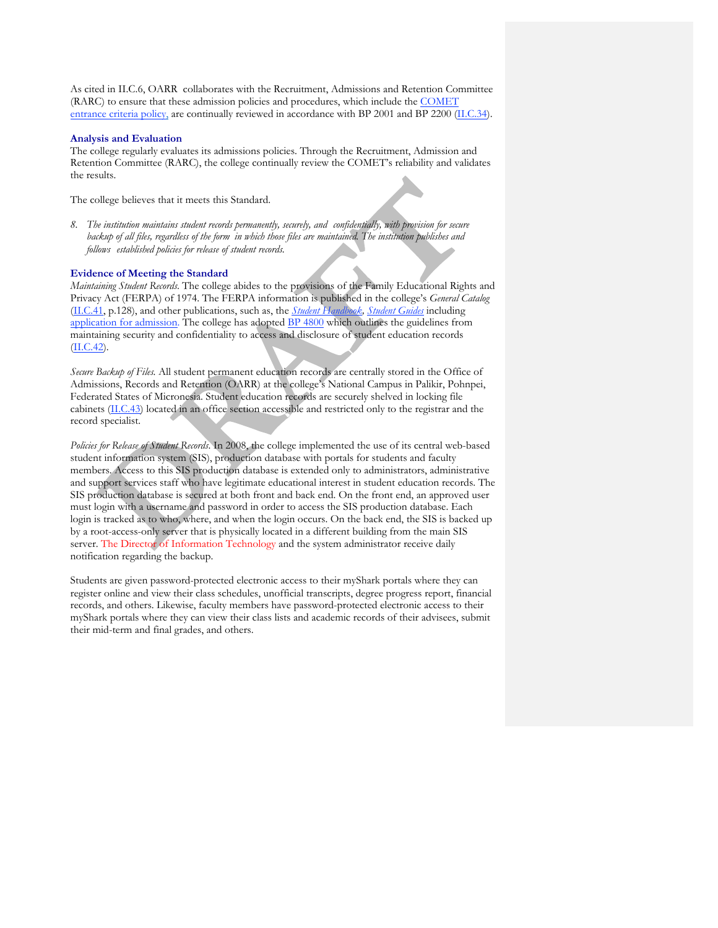As cited in II.C.6, OARR collaborates with the Recruitment, Admissions and Retention Committee (RARC) to ensure that these admission policies and procedures, which include the COMET entrance criteria policy, are continually reviewed in accordance with BP 2001 and BP 2200 (II.C.34).

## **Analysis and Evaluation**

The college regularly evaluates its admissions policies. Through the Recruitment, Admission and Retention Committee (RARC), the college continually review the COMET's reliability and validates the results.

The college believes that it meets this Standard.

*8. The institution maintains student records permanently, securely, and confidentially, with provision for secure* backup of all files, regardless of the form in which those files are maintained. The institution publishes and *follows established policies for release of student records.*

# **Evidence of Meeting the Standard**

*Maintaining Student Records*. The college abides to the provisions of the Family Educational Rights and Privacy Act (FERPA) of 1974. The FERPA information is published in the college's *General Catalog* (II.C.41, p.128), and other publications, such as, the *Student Handbook, Student Guides* including application for admission. The college has adopted BP 4800 which outlines the guidelines from maintaining security and confidentiality to access and disclosure of student education records (II.C.42).

*Secure Backup of Files.* All student permanent education records are centrally stored in the Office of Admissions, Records and Retention (OARR) at the college's National Campus in Palikir, Pohnpei, Federated States of Micronesia. Student education records are securely shelved in locking file cabinets (II.C.43) located in an office section accessible and restricted only to the registrar and the record specialist.

*Policies for Release of Student Records*. In 2008, the college implemented the use of its central web-based student information system (SIS), production database with portals for students and faculty members. Access to this SIS production database is extended only to administrators, administrative and support services staff who have legitimate educational interest in student education records. The SIS production database is secured at both front and back end. On the front end, an approved user must login with a username and password in order to access the SIS production database. Each login is tracked as to who, where, and when the login occurs. On the back end, the SIS is backed up by a root-access-only server that is physically located in a different building from the main SIS server. The Director of Information Technology and the system administrator receive daily notification regarding the backup.

Students are given password-protected electronic access to their myShark portals where they can register online and view their class schedules, unofficial transcripts, degree progress report, financial records, and others. Likewise, faculty members have password-protected electronic access to their myShark portals where they can view their class lists and academic records of their advisees, submit their mid-term and final grades, and others.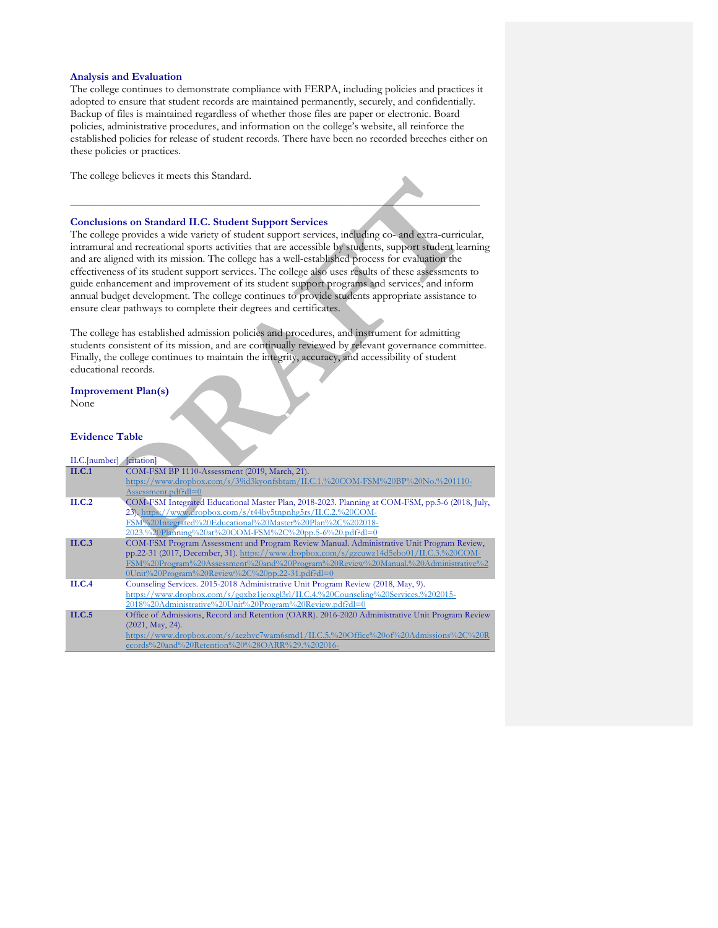#### **Analysis and Evaluation**

The college continues to demonstrate compliance with FERPA, including policies and practices it adopted to ensure that student records are maintained permanently, securely, and confidentially. Backup of files is maintained regardless of whether those files are paper or electronic. Board policies, administrative procedures, and information on the college's website, all reinforce the established policies for release of student records. There have been no recorded breeches either on these policies or practices.

\_\_\_\_\_\_\_\_\_\_\_\_\_\_\_\_\_\_\_\_\_\_\_\_\_\_\_\_\_\_\_\_\_\_\_\_\_\_\_\_\_\_\_\_\_\_\_\_\_\_\_\_\_\_\_\_\_\_\_\_\_\_\_\_\_\_\_\_\_\_\_\_\_\_\_

The college believes it meets this Standard.

#### **Conclusions on Standard II.C. Student Support Services**

The college provides a wide variety of student support services, including co- and extra-curricular, intramural and recreational sports activities that are accessible by students, support student learning and are aligned with its mission. The college has a well-established process for evaluation the effectiveness of its student support services. The college also uses results of these assessments to guide enhancement and improvement of its student support programs and services, and inform annual budget development. The college continues to provide students appropriate assistance to ensure clear pathways to complete their degrees and certificates.

The college has established admission policies and procedures, and instrument for admitting students consistent of its mission, and are continually reviewed by relevant governance committee. Finally, the college continues to maintain the integrity, accuracy, and accessibility of student educational records.

# **Improvement Plan(s)**

None

## **Evidence Table**

| II.C.[number] | <i>citation</i>                                                                                 |
|---------------|-------------------------------------------------------------------------------------------------|
| II.C.1        | COM-FSM BP 1110-Assessment (2019, March, 21).                                                   |
|               | https://www.dropbox.com/s/39id3kyonfsbtam/II.C.1.%20COM-FSM%20BP%20No.%201110-                  |
|               | $Assessment.pdf$ $Pdl=0$                                                                        |
| ILC.2         | COM-FSM Integrated Educational Master Plan, 2018-2023. Planning at COM-FSM, pp.5-6 (2018, July, |
|               | 23). https://www.dropbox.com/s/t44by5tnpnhg5rs/II.C.2.%20COM-                                   |
|               | FSM%20Integrated%20Educational%20Master%20Plan%2C%202018-                                       |
|               | 2023.%20Planning%20at%20COM-FSM%2C%20pp.5-6%20.pdf?dl=0                                         |
| ILC.3         | COM-FSM Program Assessment and Program Review Manual. Administrative Unit Program Review,       |
|               | pp.22-31 (2017, December, 31). https://www.dropbox.com/s/gzcuwz14d5ebo01/II.C.3.%20COM-         |
|               | FSM%20Program%20Assessment%20and%20Program%20Review%20Manual.%20Administrative%2                |
|               | $0$ Unit%20Program%20Review%2C%20pp.22-31.pdf?dl=0                                              |
| ILC.4         | Counseling Services. 2015-2018 Administrative Unit Program Review (2018, May, 9).               |
|               | https://www.dropbox.com/s/gqxbz1jeoxgl3rl/II.C.4.%20Counseling%20Services.%202015-              |
|               | 2018%20Administrative%20Unit%20Program%20Review.pdf?dl=0                                        |
| ILC.5         | Office of Admissions, Record and Retention (OARR). 2016-2020 Administrative Unit Program Review |
|               | $(2021, \text{May}, 24).$                                                                       |
|               | https://www.dropbox.com/s/aezhvc7wam6smd1/II.C.5.%20Office%20of%20Admissions%2C%20R             |
|               | ecords%20and%20Retention%20%28OARR%29.%202016-                                                  |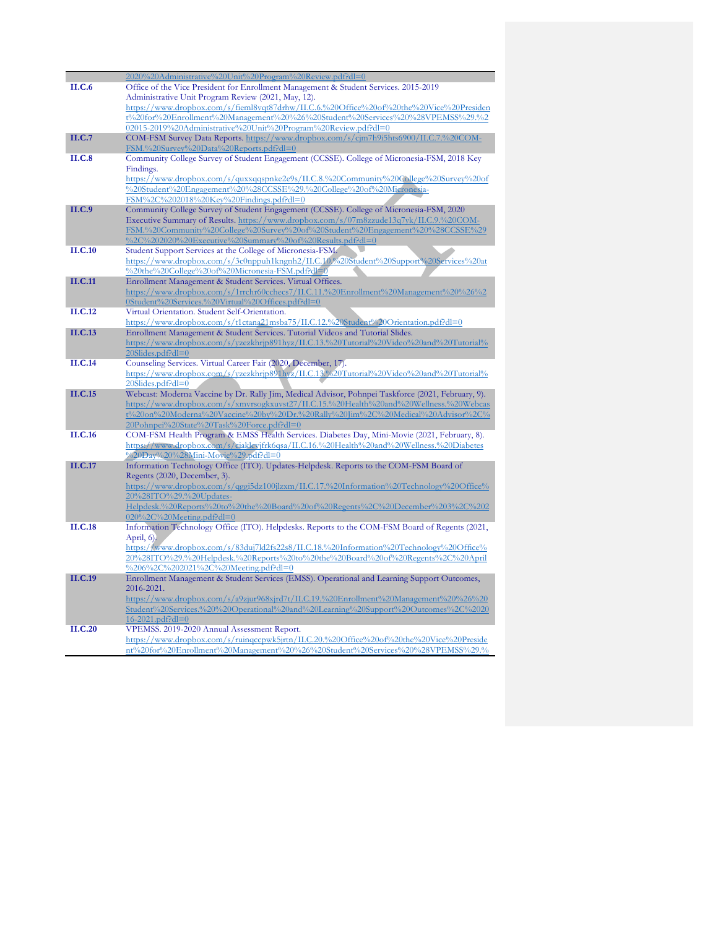|                | 2020%20Administrative%20Unit%20Program%20Review.pdf?dl=0                                                                                             |
|----------------|------------------------------------------------------------------------------------------------------------------------------------------------------|
| II.C.6         | Office of the Vice President for Enrollment Management & Student Services. 2015-2019                                                                 |
|                | Administrative Unit Program Review (2021, May, 12).                                                                                                  |
|                | https://www.dropbox.com/s/fieml8vqt87drhw/II.C.6.%20Office%20of%20the%20Vice%20Presiden                                                              |
|                | t%20for%20Enrollment%20Management%20%26%20Student%20Services%20%28VPEMSS%29.%2                                                                       |
|                | 02015-2019%20Administrative%20Unit%20Program%20Review.pdf?dl=0                                                                                       |
| II.C.7         | COM-FSM Survey Data Reports. https://www.dropbox.com/s/cjm7h9i5hts6900/II.C.7.%20COM-                                                                |
|                | FSM.%20Survey%20Data%20Reports.pdf?dl=0                                                                                                              |
| <b>II.C.8</b>  | Community College Survey of Student Engagement (CCSSE). College of Micronesia-FSM, 2018 Key                                                          |
|                | Findings.                                                                                                                                            |
|                | https://www.dropbox.com/s/quxxqqspnke2e9s/II.C.8.%20Community%20College%20Survey%20of                                                                |
|                | %20Student%20Engagement%20%28CCSSE%29.%20College%20of%20Micronesia-                                                                                  |
|                | FSM%2C%202018%20Key%20Findings.pdf?dl=0                                                                                                              |
| II.C.9         | Community College Survey of Student Engagement (CCSSE). College of Micronesia-FSM, 2020                                                              |
|                | Executive Summary of Results. https://www.dropbox.com/s/07m8zzude13q7yk/II.C.9.%20COM-                                                               |
|                | FSM.%20Community%20College%20Survey%20of%20Student%20Engagement%20%28CCSSE%29                                                                        |
|                |                                                                                                                                                      |
| <b>II.C.10</b> | %2C%202020%20Executive%20Summary%20of%20Results.pdf?dl=0                                                                                             |
|                | Student Support Services at the College of Micronesia-FSM.<br>https://www.dropbox.com/s/3c0nppuh1kngnh2/II.C.10.%20Student%20Support%20Services%20at |
|                |                                                                                                                                                      |
|                | %20the%20College%20of%20Micronesia-FSM.pdf?dl=0                                                                                                      |
| <b>II.C.11</b> | Enrollment Management & Student Services. Virtual Offices.                                                                                           |
|                | https://www.dropbox.com/s/1rrchr60cchecs7/II.C.11.%20Enrollment%20Management%20%26%2                                                                 |
|                | 0Student%20Services.%20Virtual%20Offices.pdf?dl=0                                                                                                    |
| II.C.12        | Virtual Orientation. Student Self-Orientation.                                                                                                       |
|                | https://www.dropbox.com/s/t1ctana21msba75/II.C.12.%20Student%20Orientation.pdf?dl=0                                                                  |
| <b>II.C.13</b> | Enrollment Management & Student Services. Tutorial Videos and Tutorial Slides.                                                                       |
|                | https://www.dropbox.com/s/yzezkhrjp891hyz/II.C.13.%20Tutorial%20Video%20and%20Tutorial%                                                              |
|                | $20\text{Slides.pdf}$ $\text{Pdl}=0$                                                                                                                 |
| II.C.14        | Counseling Services. Virtual Career Fair (2020, December, 17).                                                                                       |
|                | https://www.dropbox.com/s/yzezkhrjp891hyz/II.C.13.%20Tutorial%20Video%20and%20Tutorial%                                                              |
|                | $20S$ lides.pdf?dl= $0$                                                                                                                              |
| II.C.15        | Webcast: Moderna Vaccine by Dr. Rally Jim, Medical Advisor, Pohnpei Taskforce (2021, February, 9).                                                   |
|                | https://www.dropbox.com/s/xmvrsogkxuvst27/II.C.15.%20Health%20and%20Wellness.%20Webcas                                                               |
|                | t%20on%20Moderna%20Vaccine%20by%20Dr.%20Rally%20Jim%2C%20Medical%20Advisor%2C%                                                                       |
|                | 20Pohnpei%20State%20Task%20Force.pdf?dl=0                                                                                                            |
| <b>II.C.16</b> | COM-FSM Health Program & EMSS Health Services. Diabetes Day, Mini-Movie (2021, February, 8).                                                         |
|                | https://www.dropbox.com/s/ciaklcyjfrk6qsa/II.C.16.%20Health%20and%20Wellness.%20Diabetes                                                             |
|                | %20Day%20%28Mini-Movie%29.pdf?dl=0                                                                                                                   |
| II.C.17        | Information Technology Office (ITO). Updates-Helpdesk. Reports to the COM-FSM Board of                                                               |
|                | Regents (2020, December, 3).                                                                                                                         |
|                | https://www.dropbox.com/s/qggi5dz100jlzxm/II.C.17.%20Information%20Technology%20Office%                                                              |
|                | 20%28ITO%29.%20Updates-                                                                                                                              |
|                | Helpdesk.%20Reports%20to%20the%20Board%20of%20Regents%2C%20December%203%2C%202                                                                       |
|                | 020%2C%20Meeting.pdf?dl=0                                                                                                                            |
| <b>II.C.18</b> | Information Technology Office (ITO). Helpdesks. Reports to the COM-FSM Board of Regents (2021,                                                       |
|                | April, $6$ ).                                                                                                                                        |
|                | https://www.dropbox.com/s/83duj7ld2fs22s8/II.C.18.%20Information%20Technology%20Office%                                                              |
|                | 20%28ITO%29.%20Helpdesk.%20Reports%20to%20the%20Board%20of%20Regents%2C%20April                                                                      |
|                | %206%2C%202021%2C%20Meeting.pdf?dl=0                                                                                                                 |
| <b>II.C.19</b> | Enrollment Management & Student Services (EMSS). Operational and Learning Support Outcomes,                                                          |
|                | 2016-2021.                                                                                                                                           |
|                | https://www.dropbox.com/s/a9zjur968xjrd7t/II.C.19.%20Enrollment%20Management%20%26%20                                                                |
|                | Student%20Services.%20%20Operational%20and%20Learning%20Support%20Outcomes%2C%2020                                                                   |
|                | 16-2021.pdf?dl=0                                                                                                                                     |
| II.C.20        | VPEMSS. 2019-2020 Annual Assessment Report.                                                                                                          |
|                | https://www.dropbox.com/s/ruinqccpwk5jrtn/II.C.20.%20Office%20of%20the%20Vice%20Preside                                                              |
|                | nt%20for%20Enrollment%20Management%20%26%20Student%20Services%20%28VPEMSS%29.%                                                                       |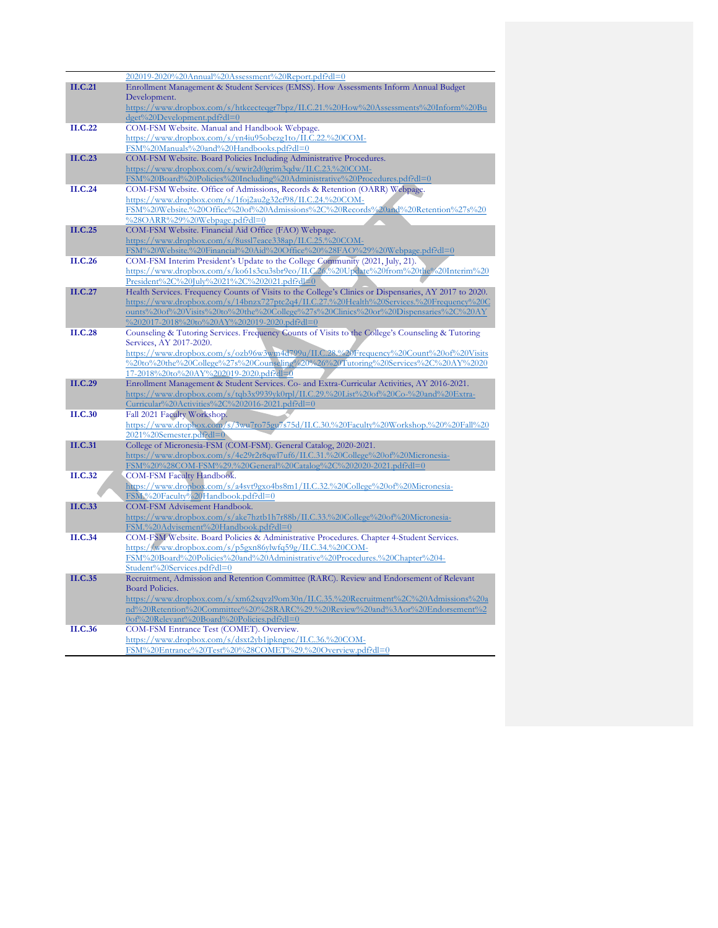|                | 202019-2020%20Annual%20Assessment%20Report.pdf?dl=0                                                               |
|----------------|-------------------------------------------------------------------------------------------------------------------|
| II.C.21        | Enrollment Management & Student Services (EMSS). How Assessments Inform Annual Budget                             |
|                | Development.                                                                                                      |
|                | https://www.dropbox.com/s/htkcecteqgr7bpz/II.C.21.%20How%20Assessments%20Inform%20Bu                              |
|                | dget%20Development.pdf?dl=0                                                                                       |
| II.C.22        | COM-FSM Website. Manual and Handbook Webpage.                                                                     |
|                | https://www.dropbox.com/s/yn4iu95obezg1to/II.C.22.%20COM-                                                         |
|                | FSM%20Manuals%20and%20Handbooks.pdf?dl=0                                                                          |
| II.C.23        | COM-FSM Website. Board Policies Including Administrative Procedures.                                              |
|                | https://www.dropbox.com/s/wwir2d0grim3qdw/II.C.23.%20COM-                                                         |
|                | FSM%20Board%20Policies%20Including%20Administrative%20Procedures.pdf?dl=0                                         |
| II.C.24        | COM-FSM Website. Office of Admissions, Records & Retention (OARR) Webpage.                                        |
|                | https://www.dropbox.com/s/1foj2au2g32cf98/II.C.24.%20COM-                                                         |
|                | FSM%20Website.%20Office%20of%20Admissions%2C%20Records%20and%20Retention%27s%20                                   |
| II.C.25        | %28OARR%29%20Webpage.pdf?dl=0                                                                                     |
|                | COM-FSM Website. Financial Aid Office (FAO) Webpage.<br>https://www.dropbox.com/s/8ussl7eace338ap/II.C.25.%20COM- |
|                | FSM%20Website.%20Financial%20Aid%20Office%20%28FAO%29%20Webpage.pdf?dl=0                                          |
| II.C.26        | COM-FSM Interim President's Update to the College Community (2021, July, 21).                                     |
|                | https://www.dropbox.com/s/ko61s3cu3sbr9eo/II.C.26.%20Update%20from%20the%20Interim%20                             |
|                | President%2C%20July%2021%2C%202021.pdf?dl=0                                                                       |
| II.C.27        | Health Services. Frequency Counts of Visits to the College's Clinics or Dispensaries, AY 2017 to 2020.            |
|                | https://www.dropbox.com/s/14bnzx727ptc2q4/II.C.27.%20Health%20Services.%20Frequency%20C                           |
|                | ounts%20of%20Visits%20to%20the%20College%27s%20Clinics%20or%20Dispensaries%2C%20AY                                |
|                | %202017-2018%20to%20AY%202019-2020.pdf?dl=0                                                                       |
| II.C.28        | Counseling & Tutoring Services. Frequency Counts of Visits to the College's Counseling & Tutoring                 |
|                | Services, AY 2017-2020.                                                                                           |
|                | https://www.dropbox.com/s/ozb96w3wm4d799u/II.C.28.%20Frequency%20Count%20of%20Visits                              |
|                | %20to%20the%20College%27s%20Counseling%20%26%20Tutoring%20Services%2C%20AY%2020                                   |
|                | 17-2018%20to%20AY%202019-2020.pdf?dl=0                                                                            |
| II.C.29        | Enrollment Management & Student Services. Co- and Extra-Curricular Activities, AY 2016-2021.                      |
|                | https://www.dropbox.com/s/tqb3x9939yk0rpl/II.C.29.%20List%20of%20Co-%20and%20Extra-                               |
|                | Curricular%20Activities%2C%202016-2021.pdf?dl=0                                                                   |
| II.C.30        | Fall 2021 Faculty Workshop.                                                                                       |
|                | https://www.dropbox.com/s/3wu7ro75gu7s75d/II.C.30.%20Faculty%20Workshop.%20%20Fall%20                             |
|                | 2021%20Semester.pdf?dl=0                                                                                          |
| <b>II.C.31</b> | College of Micronesia-FSM (COM-FSM). General Catalog, 2020-2021.                                                  |
|                | https://www.dropbox.com/s/4e29r2r8qwl7uf6/II.C.31.%20College%20of%20Micronesia-                                   |
| II.C.32        | FSM%20%28COM-FSM%29.%20General%20Catalog%2C%202020-2021.pdf?dl=0<br>COM-FSM Faculty Handbook.                     |
|                | https://www.dropbox.com/s/a4svt9gxo4bs8m1/II.C.32.%20College%20of%20Micronesia-                                   |
|                | FSM.%20Faculty%20Handbook.pdf?dl=0                                                                                |
| II.C.33        | COM-FSM Advisement Handbook.                                                                                      |
|                | https://www.dropbox.com/s/ake7hztb1h7r88b/II.C.33.%20College%20of%20Micronesia-                                   |
|                | FSM.%20Advisement%20Handbook.pdf?dl=0                                                                             |
| II.C.34        | COM-FSM Website. Board Policies & Administrative Procedures. Chapter 4-Student Services.                          |
|                | https://www.dropbox.com/s/p5gxn86ylwfq59g/II.C.34.%20COM-                                                         |
|                | FSM%20Board%20Policies%20and%20Administrative%20Procedures.%20Chapter%204-                                        |
|                | Student%20Services.pdf?dl=0                                                                                       |
| II.C.35        | Recruitment, Admission and Retention Committee (RARC). Review and Endorsement of Relevant                         |
|                | <b>Board Policies.</b>                                                                                            |
|                | https://www.dropbox.com/s/xm62xqvzl9om30n/II.C.35.%20Recruitment%2C%20Admissions%20a                              |
|                | nd%20Retention%20Committee%20%28RARC%29.%20Review%20and%3Aor%20Endorsement%2                                      |
|                | 0of%20Relevant%20Board%20Policies.pdf?dl=0                                                                        |
| II.C.36        | COM-FSM Entrance Test (COMET). Overview.                                                                          |
|                | https://www.dropbox.com/s/dsxt2yb1jpkngnc/II.C.36.%20COM-                                                         |
|                | FSM%20Entrance%20Test%20%28COMET%29.%20Overview.pdf?dl=0                                                          |